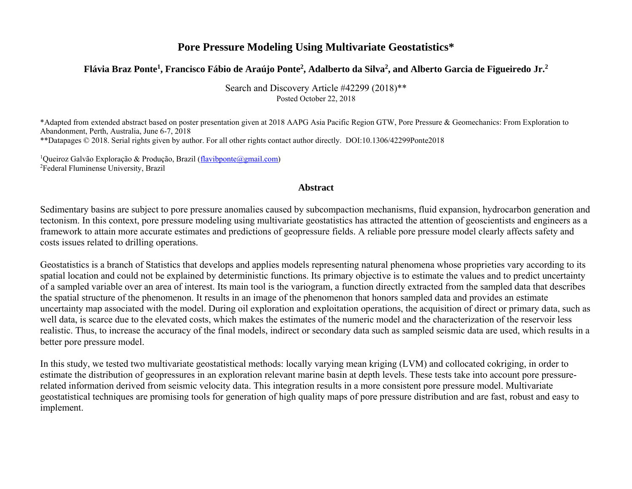# **Pore Pressure Modeling Using Multivariate Geostatistics\***

# **Flávia Braz Ponte<sup>1</sup> , Francisco Fábio de Araújo Ponte<sup>2</sup> , Adalberto da Silva<sup>2</sup> , and Alberto Garcia de Figueiredo Jr.<sup>2</sup>**

Search and Discovery Article #42299 (2018)\*\* Posted October 22, 2018

\*Adapted from extended abstract based on poster presentation given at 2018 AAPG Asia Pacific Region GTW, Pore Pressure & Geomechanics: From Exploration to Abandonment, Perth, Australia, June 6-7, 2018 \*\*Datapages © 2018. Serial rights given by author. For all other rights contact author directly. DOI:10.1306/42299Ponte2018

<sup>1</sup>Queiroz Galvão Exploração & Produção, Brazil [\(flavibponte@gmail.com\)](mailto:flavibponte@gmail.com) <sup>2</sup>Federal Fluminense University, Brazil

#### **Abstract**

Sedimentary basins are subject to pore pressure anomalies caused by subcompaction mechanisms, fluid expansion, hydrocarbon generation and tectonism. In this context, pore pressure modeling using multivariate geostatistics has attracted the attention of geoscientists and engineers as a framework to attain more accurate estimates and predictions of geopressure fields. A reliable pore pressure model clearly affects safety and costs issues related to drilling operations.

Geostatistics is a branch of Statistics that develops and applies models representing natural phenomena whose proprieties vary according to its spatial location and could not be explained by deterministic functions. Its primary objective is to estimate the values and to predict uncertainty of a sampled variable over an area of interest. Its main tool is the variogram, a function directly extracted from the sampled data that describes the spatial structure of the phenomenon. It results in an image of the phenomenon that honors sampled data and provides an estimate uncertainty map associated with the model. During oil exploration and exploitation operations, the acquisition of direct or primary data, such as well data, is scarce due to the elevated costs, which makes the estimates of the numeric model and the characterization of the reservoir less realistic. Thus, to increase the accuracy of the final models, indirect or secondary data such as sampled seismic data are used, which results in a better pore pressure model.

In this study, we tested two multivariate geostatistical methods: locally varying mean kriging (LVM) and collocated cokriging, in order to estimate the distribution of geopressures in an exploration relevant marine basin at depth levels. These tests take into account pore pressurerelated information derived from seismic velocity data. This integration results in a more consistent pore pressure model. Multivariate geostatistical techniques are promising tools for generation of high quality maps of pore pressure distribution and are fast, robust and easy to implement.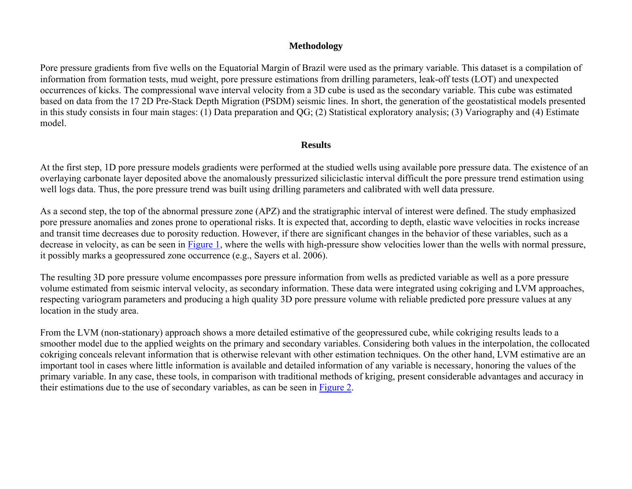### **Methodology**

Pore pressure gradients from five wells on the Equatorial Margin of Brazil were used as the primary variable. This dataset is a compilation of information from formation tests, mud weight, pore pressure estimations from drilling parameters, leak-off tests (LOT) and unexpected occurrences of kicks. The compressional wave interval velocity from a 3D cube is used as the secondary variable. This cube was estimated based on data from the 17 2D Pre-Stack Depth Migration (PSDM) seismic lines. In short, the generation of the geostatistical models presented in this study consists in four main stages: (1) Data preparation and QG; (2) Statistical exploratory analysis; (3) Variography and (4) Estimate model.

#### **Results**

At the first step, 1D pore pressure models gradients were performed at the studied wells using available pore pressure data. The existence of an overlaying carbonate layer deposited above the anomalously pressurized siliciclastic interval difficult the pore pressure trend estimation using well logs data. Thus, the pore pressure trend was built using drilling parameters and calibrated with well data pressure.

As a second step, the top of the abnormal pressure zone (APZ) and the stratigraphic interval of interest were defined. The study emphasized pore pressure anomalies and zones prone to operational risks. It is expected that, according to depth, elastic wave velocities in rocks increase and transit time decreases due to porosity reduction. However, if there are significant changes in the behavior of these variables, such as a decrease in velocity, as can be seen in [Figure 1,](#page-3-0) where the wells with high-pressure show velocities lower than the wells with normal pressure, it possibly marks a geopressured zone occurrence (e.g., Sayers et al. 2006).

The resulting 3D pore pressure volume encompasses pore pressure information from wells as predicted variable as well as a pore pressure volume estimated from seismic interval velocity, as secondary information. These data were integrated using cokriging and LVM approaches, respecting variogram parameters and producing a high quality 3D pore pressure volume with reliable predicted pore pressure values at any location in the study area.

From the LVM (non-stationary) approach shows a more detailed estimative of the geopressured cube, while cokriging results leads to a smoother model due to the applied weights on the primary and secondary variables. Considering both values in the interpolation, the collocated cokriging conceals relevant information that is otherwise relevant with other estimation techniques. On the other hand, LVM estimative are an important tool in cases where little information is available and detailed information of any variable is necessary, honoring the values of the primary variable. In any case, these tools, in comparison with traditional methods of kriging, present considerable advantages and accuracy in their estimations due to the use of secondary variables, as can be seen in [Figure 2.](#page-4-0)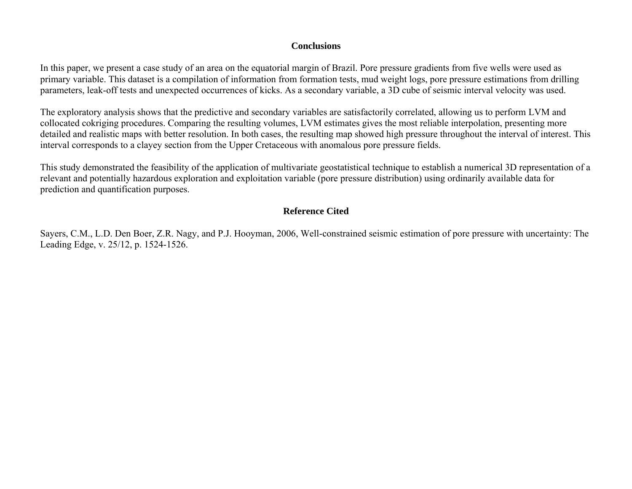#### **Conclusions**

In this paper, we present a case study of an area on the equatorial margin of Brazil. Pore pressure gradients from five wells were used as primary variable. This dataset is a compilation of information from formation tests, mud weight logs, pore pressure estimations from drilling parameters, leak-off tests and unexpected occurrences of kicks. As a secondary variable, a 3D cube of seismic interval velocity was used.

The exploratory analysis shows that the predictive and secondary variables are satisfactorily correlated, allowing us to perform LVM and collocated cokriging procedures. Comparing the resulting volumes, LVM estimates gives the most reliable interpolation, presenting more detailed and realistic maps with better resolution. In both cases, the resulting map showed high pressure throughout the interval of interest. This interval corresponds to a clayey section from the Upper Cretaceous with anomalous pore pressure fields.

This study demonstrated the feasibility of the application of multivariate geostatistical technique to establish a numerical 3D representation of a relevant and potentially hazardous exploration and exploitation variable (pore pressure distribution) using ordinarily available data for prediction and quantification purposes.

## **Reference Cited**

Sayers, C.M., L.D. Den Boer, Z.R. Nagy, and P.J. Hooyman, 2006, Well-constrained seismic estimation of pore pressure with uncertainty: The Leading Edge, v. 25/12, p. 1524-1526.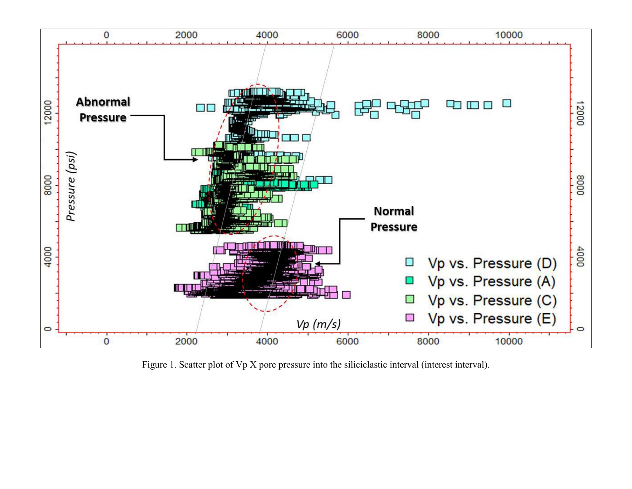<span id="page-3-0"></span>

Figure 1. Scatter plot of Vp X pore pressure into the siliciclastic interval (interest interval).